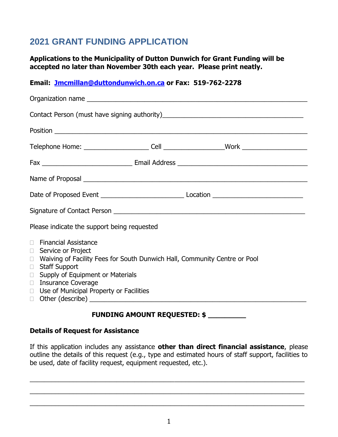# **2021 GRANT FUNDING APPLICATION**

**Applications to the Municipality of Dutton Dunwich for Grant Funding will be accepted no later than November 30th each year. Please print neatly.**

## **Email: [Jmcmillan@duttondunwich.on.ca](mailto:Jmcmillan@duttondunwich.on.ca) or Fax: 519-762-2278**

| Please indicate the support being requested                                                                                                                                                                                                                                                               |
|-----------------------------------------------------------------------------------------------------------------------------------------------------------------------------------------------------------------------------------------------------------------------------------------------------------|
| <b>Financial Assistance</b><br>$\Box$<br>Service or Project<br>$\Box$<br>□ Waiving of Facility Fees for South Dunwich Hall, Community Centre or Pool<br><b>Staff Support</b><br>$\Box$<br>Supply of Equipment or Materials<br>$\Box$<br>□ Insurance Coverage<br>□ Use of Municipal Property or Facilities |

## **FUNDING AMOUNT REQUESTED: \$ \_\_\_\_\_\_\_\_\_**

#### **Details of Request for Assistance**

If this application includes any assistance **other than direct financial assistance**, please outline the details of this request (e.g., type and estimated hours of staff support, facilities to be used, date of facility request, equipment requested, etc.).

\_\_\_\_\_\_\_\_\_\_\_\_\_\_\_\_\_\_\_\_\_\_\_\_\_\_\_\_\_\_\_\_\_\_\_\_\_\_\_\_\_\_\_\_\_\_\_\_\_\_\_\_\_\_\_\_\_\_\_\_\_\_\_\_\_\_\_\_\_\_\_\_\_\_\_\_

\_\_\_\_\_\_\_\_\_\_\_\_\_\_\_\_\_\_\_\_\_\_\_\_\_\_\_\_\_\_\_\_\_\_\_\_\_\_\_\_\_\_\_\_\_\_\_\_\_\_\_\_\_\_\_\_\_\_\_\_\_\_\_\_\_\_\_\_\_\_\_\_\_\_\_\_

\_\_\_\_\_\_\_\_\_\_\_\_\_\_\_\_\_\_\_\_\_\_\_\_\_\_\_\_\_\_\_\_\_\_\_\_\_\_\_\_\_\_\_\_\_\_\_\_\_\_\_\_\_\_\_\_\_\_\_\_\_\_\_\_\_\_\_\_\_\_\_\_\_\_\_\_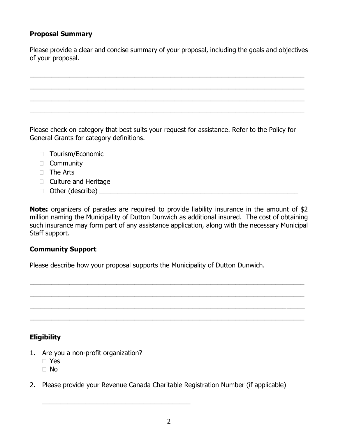## **Proposal Summary**

Please provide a clear and concise summary of your proposal, including the goals and objectives of your proposal.

\_\_\_\_\_\_\_\_\_\_\_\_\_\_\_\_\_\_\_\_\_\_\_\_\_\_\_\_\_\_\_\_\_\_\_\_\_\_\_\_\_\_\_\_\_\_\_\_\_\_\_\_\_\_\_\_\_\_\_\_\_\_\_\_\_\_\_\_\_\_\_\_\_\_\_\_ \_\_\_\_\_\_\_\_\_\_\_\_\_\_\_\_\_\_\_\_\_\_\_\_\_\_\_\_\_\_\_\_\_\_\_\_\_\_\_\_\_\_\_\_\_\_\_\_\_\_\_\_\_\_\_\_\_\_\_\_\_\_\_\_\_\_\_\_\_\_\_\_\_\_\_\_ \_\_\_\_\_\_\_\_\_\_\_\_\_\_\_\_\_\_\_\_\_\_\_\_\_\_\_\_\_\_\_\_\_\_\_\_\_\_\_\_\_\_\_\_\_\_\_\_\_\_\_\_\_\_\_\_\_\_\_\_\_\_\_\_\_\_\_\_\_\_\_\_\_\_\_\_ \_\_\_\_\_\_\_\_\_\_\_\_\_\_\_\_\_\_\_\_\_\_\_\_\_\_\_\_\_\_\_\_\_\_\_\_\_\_\_\_\_\_\_\_\_\_\_\_\_\_\_\_\_\_\_\_\_\_\_\_\_\_\_\_\_\_\_\_\_\_\_\_\_\_\_\_

Please check on category that best suits your request for assistance. Refer to the Policy for General Grants for category definitions.

- D Tourism/Economic
- □ Community
- $\Box$  The Arts
- $\Box$  Culture and Heritage
- Other (describe) \_\_\_\_\_\_\_\_\_\_\_\_\_\_\_\_\_\_\_\_\_\_\_\_\_\_\_\_\_\_\_\_\_\_\_\_\_\_\_\_\_\_\_\_\_\_\_\_\_\_\_\_\_\_\_

**Note:** organizers of parades are required to provide liability insurance in the amount of \$2 million naming the Municipality of Dutton Dunwich as additional insured. The cost of obtaining such insurance may form part of any assistance application, along with the necessary Municipal Staff support.

\_\_\_\_\_\_\_\_\_\_\_\_\_\_\_\_\_\_\_\_\_\_\_\_\_\_\_\_\_\_\_\_\_\_\_\_\_\_\_\_\_\_\_\_\_\_\_\_\_\_\_\_\_\_\_\_\_\_\_\_\_\_\_\_\_\_\_\_\_\_\_\_\_\_\_\_

\_\_\_\_\_\_\_\_\_\_\_\_\_\_\_\_\_\_\_\_\_\_\_\_\_\_\_\_\_\_\_\_\_\_\_\_\_\_\_\_\_\_\_\_\_\_\_\_\_\_\_\_\_\_\_\_\_\_\_\_\_\_\_\_\_\_\_\_\_\_\_\_\_\_\_\_

\_\_\_\_\_\_\_\_\_\_\_\_\_\_\_\_\_\_\_\_\_\_\_\_\_\_\_\_\_\_\_\_\_\_\_\_\_\_\_\_\_\_\_\_\_\_\_\_\_\_\_\_\_\_\_\_\_\_\_\_\_\_\_\_\_\_\_\_\_\_\_\_\_\_\_\_

\_\_\_\_\_\_\_\_\_\_\_\_\_\_\_\_\_\_\_\_\_\_\_\_\_\_\_\_\_\_\_\_\_\_\_\_\_\_\_\_\_\_\_\_\_\_\_\_\_\_\_\_\_\_\_\_\_\_\_\_\_\_\_\_\_\_\_\_\_\_\_\_\_\_\_\_

#### **Community Support**

Please describe how your proposal supports the Municipality of Dutton Dunwich.

## **Eligibility**

1. Are you a non-profit organization?

\_\_\_\_\_\_\_\_\_\_\_\_\_\_\_\_\_\_\_\_\_\_\_\_\_\_\_\_\_\_\_\_\_\_\_\_\_\_\_\_\_

- Yes
- No
- 2. Please provide your Revenue Canada Charitable Registration Number (if applicable)